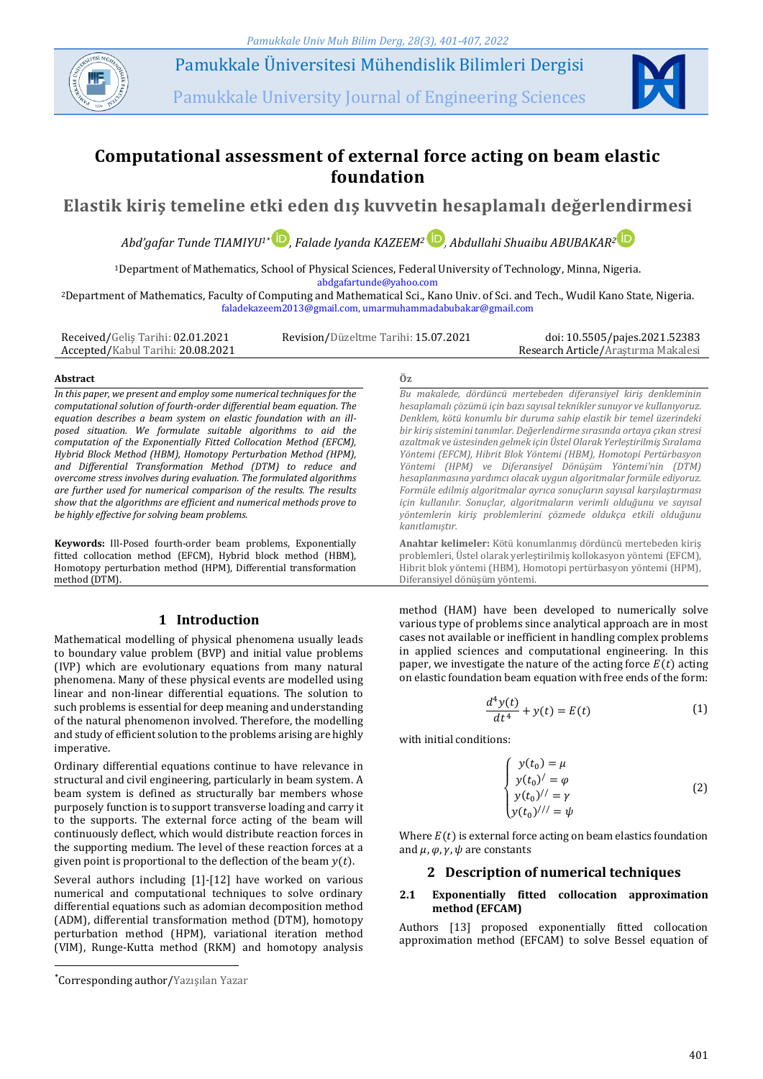

Pamukkale Üniversitesi Mühendislik Bilimleri Dergisi

Pamukkale University Journal of Engineering Sciences



# **Computational assessment of external force acting on beam elastic foundation**

**Elastik kiriş temeline etki eden dış kuvvetin hesaplamalı değerlendirmesi**

*Abd'gafar Tunde TIAMIYU1\* , Falade Iyanda KAZEEM<sup>2</sup> [,](https://orcid.org/ 0000-0001-7572-5688) Abdullahi Shuaibu ABUBAKAR[2](https://orcid.org/ 0000-0002-2016-266X)*

<sup>1</sup>Department of Mathematics, School of Physical Sciences, Federal University of Technology, Minna, Nigeria. abdgafartunde@yahoo.com

<sup>2</sup>Department of Mathematics, Faculty of Computing and Mathematical Sci., Kano Univ. of Sci. and Tech., Wudil Kano State, Nigeria. faladekazeem2013@gmail.com, umarmuhammadabubakar@gmail.com

Received/Geliş Tarihi: 02.01.2021 Accepted/Kabul Tarihi: 20.08.2021 Revision/Düzeltme Tarihi: 15.07.2021 doi: 10.5505/pajes.2021.52383

Research Article/Araştırma Makalesi

#### **Abstract Öz**

*In this paper, we present and employ some numerical techniques for the computational solution of fourth-order differential beam equation. The equation describes a beam system on elastic foundation with an illposed situation. We formulate suitable algorithms to aid the computation of the Exponentially Fitted Collocation Method (EFCM), Hybrid Block Method (HBM), Homotopy Perturbation Method (HPM), and Differential Transformation Method (DTM) to reduce and overcome stress involves during evaluation. The formulated algorithms are further used for numerical comparison of the results. The results show that the algorithms are efficient and numerical methods prove to be highly effective for solving beam problems.*

**Keywords:** Ill-Posed fourth-order beam problems, Exponentially fitted collocation method (EFCM), Hybrid block method (HBM), Homotopy perturbation method (HPM), Differential transformation method (DTM).

# **1 Introduction**

Mathematical modelling of physical phenomena usually leads to boundary value problem (BVP) and initial value problems (IVP) which are evolutionary equations from many natural phenomena. Many of these physical events are modelled using linear and non-linear differential equations. The solution to such problems is essential for deep meaning and understanding of the natural phenomenon involved. Therefore, the modelling and study of efficient solution to the problems arising are highly imperative.

Ordinary differential equations continue to have relevance in structural and civil engineering, particularly in beam system. A beam system is defined as structurally bar members whose purposely function is to support transverse loading and carry it to the supports. The external force acting of the beam will continuously deflect, which would distribute reaction forces in the supporting medium. The level of these reaction forces at a given point is proportional to the deflection of the beam  $y(t)$ .

Several authors including [1]-[12] have worked on various numerical and computational techniques to solve ordinary differential equations such as adomian decomposition method (ADM), differential transformation method (DTM), homotopy perturbation method (HPM), variational iteration method (VIM), Runge-Kutta method (RKM) and homotopy analysis

 $\overline{a}$ 

*Bu makalede, dördüncü mertebeden diferansiyel kiriş denkleminin hesaplamalı çözümü için bazı sayısal teknikler sunuyor ve kullanıyoruz. Denklem, kötü konumlu bir duruma sahip elastik bir temel üzerindeki bir kiriş sistemini tanımlar. Değerlendirme sırasında ortaya çıkan stresi azaltmak ve üstesinden gelmek için Üstel Olarak Yerleştirilmiş Sıralama Yöntemi (EFCM), Hibrit Blok Yöntemi (HBM), Homotopi Pertürbasyon Yöntemi (HPM) ve Diferansiyel Dönüşüm Yöntemi'nin (DTM) hesaplanmasına yardımcı olacak uygun algoritmalar formüle ediyoruz. Formüle edilmiş algoritmalar ayrıca sonuçların sayısal karşılaştırması için kullanılır. Sonuçlar, algoritmaların verimli olduğunu ve sayısal yöntemlerin kiriş problemlerini çözmede oldukça etkili olduğunu kanıtlamıştır.*

**Anahtar kelimeler:** Kötü konumlanmış dördüncü mertebeden kiriş problemleri, Üstel olarak yerleştirilmiş kollokasyon yöntemi (EFCM), Hibrit blok yöntemi (HBM), Homotopi pertürbasyon yöntemi (HPM), Diferansiyel dönüşüm yöntemi.

method (HAM) have been developed to numerically solve various type of problems since analytical approach are in most cases not available or inefficient in handling complex problems in applied sciences and computational engineering. In this paper, we investigate the nature of the acting force  $E(t)$  acting on elastic foundation beam equation with free ends of the form:

$$
\frac{d^4y(t)}{dt^4} + y(t) = E(t)
$$
 (1)

with initial conditions:

$$
\begin{cases}\ny(t_0) = \mu \\
y(t_0)' = \varphi \\
y(t_0) \quad / \quad = \gamma \\
y(t_0) \quad / \quad = \psi\n\end{cases} \tag{2}
$$

Where  $E(t)$  is external force acting on beam elastics foundation and  $\mu$ ,  $\varphi$ ,  $\gamma$ ,  $\psi$  are constants

# **2 Description of numerical techniques**

#### **2.1 Exponentially fitted collocation approximation method (EFCAM)**

Authors [13] proposed exponentially fitted collocation approximation method (EFCAM) to solve Bessel equation of

<sup>\*</sup>Corresponding author/Yazışılan Yazar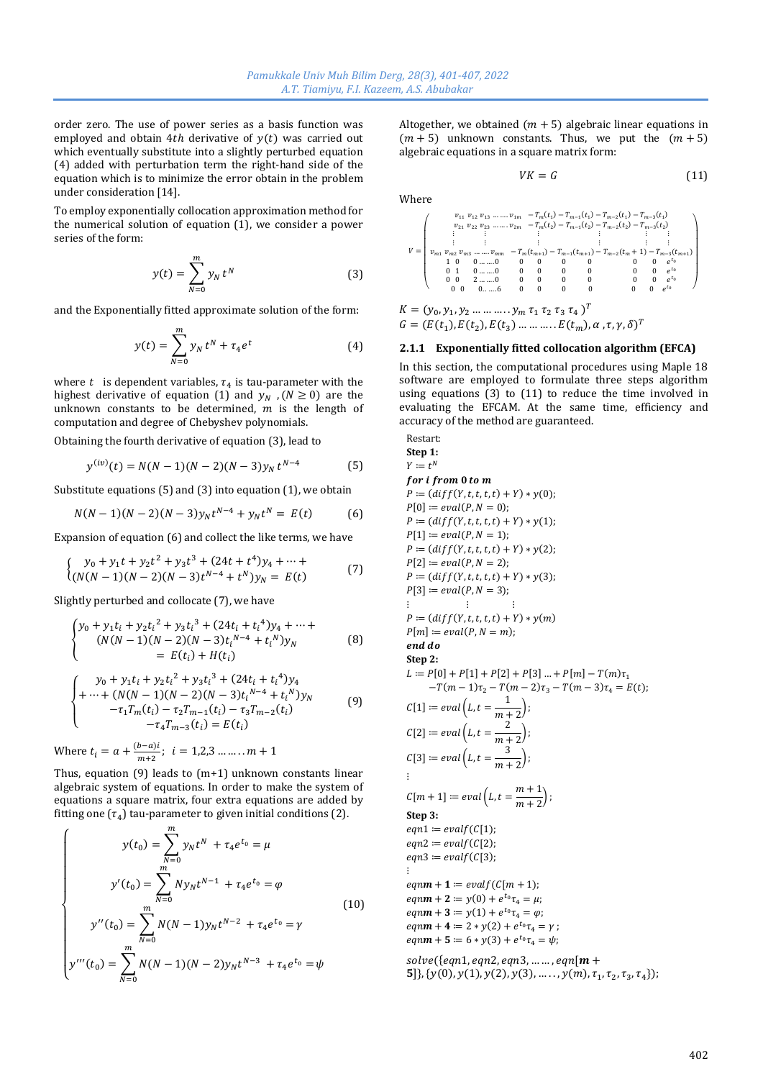order zero. The use of power series as a basis function was employed and obtain 4th derivative of  $y(t)$  was carried out which eventually substitute into a slightly perturbed equation (4) added with perturbation term the right-hand side of the equation which is to minimize the error obtain in the problem under consideration [14].

To employ exponentially collocation approximation method for the numerical solution of equation (1), we consider a power series of the form:

$$
y(t) = \sum_{N=0}^{m} y_N t^N
$$
 (3)

and the Exponentially fitted approximate solution of the form:

$$
y(t) = \sum_{N=0}^{m} y_N t^N + \tau_4 e^t
$$
 (4)

where  $t$  is dependent variables,  $\tau_4$  is tau-parameter with the highest derivative of equation (1) and  $y_N$ , ( $N \ge 0$ ) are the unknown constants to be determined,  $m$  is the length of computation and degree of Chebyshev polynomials.

Obtaining the fourth derivative of equation (3), lead to

$$
y^{(iv)}(t) = N(N-1)(N-2)(N-3)y_N t^{N-4}
$$
 (5)

Substitute equations (5) and (3) into equation (1), we obtain

$$
N(N-1)(N-2)(N-3)y_Nt^{N-4} + y_Nt^N = E(t)
$$
 (6)

Expansion of equation (6) and collect the like terms, we have

$$
\begin{cases}\ny_0 + y_1 t + y_2 t^2 + y_3 t^3 + (24t + t^4) y_4 + \dots + \\
(N(N-1)(N-2)(N-3)t^{N-4} + t^N) y_N = E(t)\n\end{cases}
$$
\n(7)

Slightly perturbed and collocate (7), we have

$$
\begin{cases}\ny_0 + y_1 t_i + y_2 t_i^2 + y_3 t_i^3 + (24t_i + t_i^4) y_4 + \dots + \\
(N(N-1)(N-2)(N-3) t_i^{N-4} + t_i^N) y_N \\
= E(t_i) + H(t_i)\n\end{cases}
$$
\n(8)

$$
\begin{cases}\ny_0 + y_1 t_i + y_2 t_i^2 + y_3 t_i^3 + (24t_i + t_i^4) y_4 \\
+ \dots + (N(N-1)(N-2)(N-3) t_i^{N-4} + t_i^N) y_N \\
-\tau_1 T_m(t_i) - \tau_2 T_{m-1}(t_i) - \tau_3 T_{m-2}(t_i) \\
-t_4 T_{m-3}(t_i) = E(t_i)\n\end{cases} \tag{9}
$$

Where 
$$
t_i = a + \frac{(b-a)i}{m+2}
$$
;  $i = 1,2,3 \dots \dots \dots m + 1$ 

Thus, equation (9) leads to (m+1) unknown constants linear algebraic system of equations. In order to make the system of equations a square matrix, four extra equations are added by fitting one  $(\tau_4)$  tau-parameter to given initial conditions (2).

$$
y(t_0) = \sum_{N=0}^{m} y_N t^N + \tau_4 e^{t_0} = \mu
$$
  

$$
y'(t_0) = \sum_{N=0}^{m} N y_N t^{N-1} + \tau_4 e^{t_0} = \varphi
$$
  

$$
y''(t_0) = \sum_{N=0}^{m} N(N-1) y_N t^{N-2} + \tau_4 e^{t_0} = \gamma
$$
  

$$
y'''(t_0) = \sum_{N=0}^{m} N(N-1)(N-2) y_N t^{N-3} + \tau_4 e^{t_0} = \psi
$$
 (10)

Altogether, we obtained  $(m + 5)$  algebraic linear equations in  $(m + 5)$  unknown constants. Thus, we put the  $(m + 5)$ algebraic equations in a square matrix form:

$$
VK = G \tag{11}
$$

Where

$$
V = \begin{pmatrix} v_{11} & v_{12} & v_{13} & \dots & v_{1m} & -T_m(t_1) - T_{m-1}(t_1) - T_{m-2}(t_1) - T_{m-3}(t_1) \\ v_{21} & v_{22} & v_{23} & \dots & v_{2m} & -T_m(t_2) - T_{m-1}(t_2) - T_{m-2}(t_2) - T_{m-3}(t_2) \\ \vdots & \vdots & \vdots & \vdots & \vdots & \vdots \\ v_{m1} & v_{m2} & v_{m3} & \dots & v_{mm} & -T_m(t_{m+1}) - T_{m-1}(t_{m+1}) - T_{m-2}(t_m + 1) - T_{m-3}(t_{m+1}) \\ 1 & 0 & 0 & \dots & 0 & 0 & 0 & 0 & 0 & 0 \\ 0 & 1 & 0 & \dots & 0 & 0 & 0 & 0 & 0 & 0 & e^{t_0} \\ 0 & 0 & 2 & \dots & 0 & 0 & 0 & 0 & 0 & 0 & e^{t_0} \\ 0 & 0 & 0 & \dots & 0 & 0 & 0 & 0 & 0 & 0 & e^{t_0} \\ 0 & 0 & 0 & \dots & 0 & 0 & 0 & 0 & 0 & 0 & e^{t_0} \\ 0 & 0 & 0 & \dots & 0 & 0 & 0 & 0 & 0 & 0 & e^{t_0} \end{pmatrix}
$$

$$
K = (y_0, y_1, y_2, \dots, \dots, y_m \tau_1 \tau_2 \tau_3 \tau_4)^T
$$

$$
G = (E(t_1), E(t_2), E(t_3), \dots, \dots, E(t_m), \alpha, \tau, \gamma, \delta)^T
$$

#### **2.1.1 Exponentially fitted collocation algorithm (EFCA)**

In this section, the computational procedures using Maple 18 software are employed to formulate three steps algorithm using equations (3) to (11) to reduce the time involved in evaluating the EFCAM. At the same time, efficiency and accuracy of the method are guaranteed.

Restrart:

\nStep 1:

\n
$$
Y := t^N
$$

\nfor *i* from 0 to m

\n
$$
P := \left( \frac{diff}{Y, t, t, t, t} + Y \right) * y(0);
$$

\n
$$
P[0] := \frac{eval(P, N = 0)}{P = \left( \frac{diff}{Y, t, t, t, t} + Y \right) * y(1);
$$

\n
$$
P[1] := \frac{eval(P, N = 1)}{P = \left( \frac{diff}{Y, t, t, t, t} + Y \right) * y(2);
$$

\n
$$
P[2] := \frac{eval(P, N = 2)}{P = \left( \frac{diff}{Y, t, t, t, t} + Y \right) * y(3);
$$

\n
$$
P[3] := \frac{eval(P, N = 3)}{P = \left( \frac{diff}{Y, t, t, t, t} + Y \right) * y(m)}
$$

\n
$$
P[m] := \frac{eval(P, N = m);
$$

\n
$$
P[m] := \frac{eval(P, N = m);
$$

\nend do

\nStep 2:

\n
$$
L := P[0] + P[1] + P[2] + P[3] ... + P[m] - T(m)\tau_1 - T(m - 1)\tau_2 - T(m - 2)\tau_3 - T(m - 3)\tau_4 = E(t);
$$

\n
$$
C[1] := \frac{eval\left(L, t = \frac{1}{m + 2}\right);
$$

\n
$$
C[2] := \frac{eval\left(L, t = \frac{3}{m + 2}\right);
$$

\n
$$
C[3] := \frac{eval\left(L, t = \frac{m + 1}{m + 2}\right);
$$

\nStep 3:

\n
$$
eqn1 := \frac{evalf(C[1])}{P = \frac{evalf(C[2])}{P = \frac{evalf(C[2])}{P = \frac{evalf(C[2])}{P = \frac{evalf(C[2])}{P = \frac{evalf(C[2])}{P = \frac{evalf(C[2])}{P = \frac{evalf(C[2])}{P = \frac{evalf(C[2])}{P = \frac{evalf(T, \frac{1}{2}) + \frac{1}{2} \cdot \frac{1
$$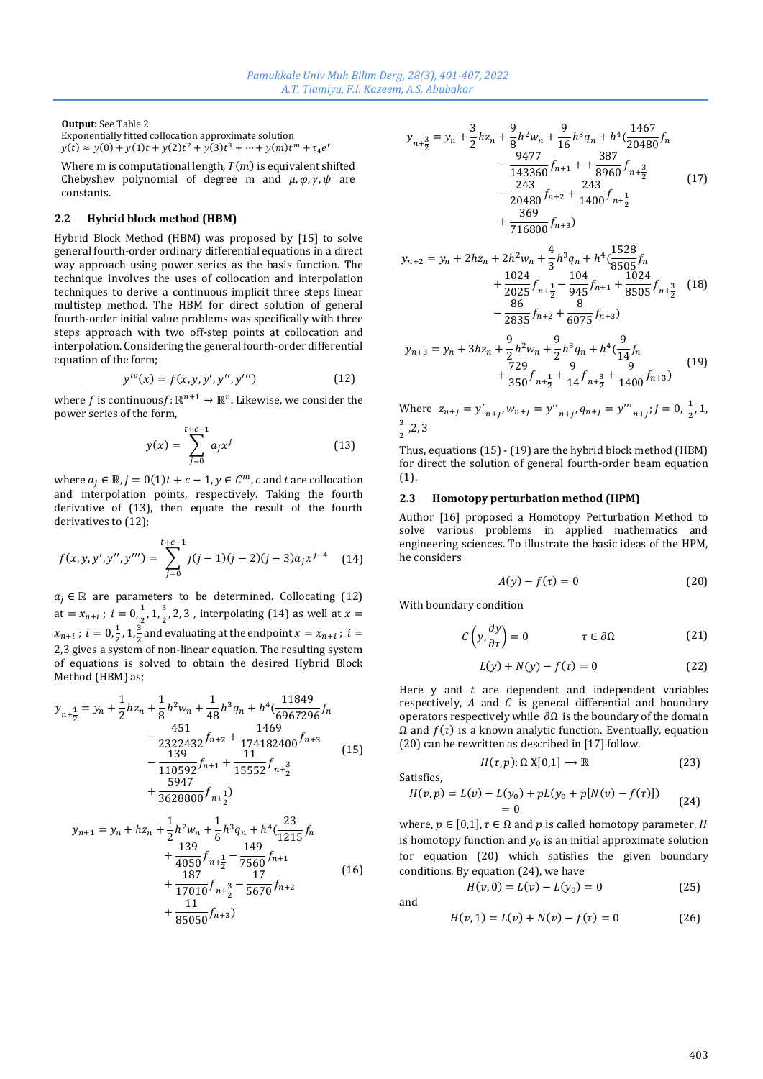**Output:** See Table 2

Exponentially fitted collocation approximate solution  $y(t) \approx y(0) + y(1)t + y(2)t^2 + y(3)t^3 + \dots + y(m)t^m + \tau_4 e^t$ 

Where m is computational length,  $T(m)$  is equivalent shifted Chebyshev polynomial of degree m and  $\mu$ ,  $\varphi$ ,  $\gamma$ ,  $\psi$  are constants.

# **2.2 Hybrid block method (HBM)**

Hybrid Block Method (HBM) was proposed by [15] to solve general fourth-order ordinary differential equations in a direct way approach using power series as the basis function. The technique involves the uses of collocation and interpolation techniques to derive a continuous implicit three steps linear multistep method. The HBM for direct solution of general fourth-order initial value problems was specifically with three steps approach with two off-step points at collocation and interpolation. Considering the general fourth-order differential equation of the form;

$$
y^{iv}(x) = f(x, y, y', y'', y''') \tag{12}
$$

where f is continuousf:  $\mathbb{R}^{n+1} \to \mathbb{R}^n$ . Likewise, we consider the power series of the form,

$$
y(x) = \sum_{j=0}^{t+c-1} a_j x^j
$$
 (13)

where  $a_j \in \mathbb{R}$ ,  $j = 0(1)t + c - 1$ ,  $y \in \mathcal{C}^m$ ,  $c$  and  $t$  are collocation and interpolation points, respectively. Taking the fourth derivative of (13), then equate the result of the fourth derivatives to (12);

$$
f(x, y, y', y'', y''') = \sum_{j=0}^{t+c-1} j(j-1)(j-2)(j-3)a_j x^{j-4}
$$
 (14)

 $a_i \in \mathbb{R}$  are parameters to be determined. Collocating (12) at =  $x_{n+i}$ ;  $i = 0, \frac{1}{2}$  $\frac{1}{2}$ , 1,  $\frac{3}{2}$  $\frac{3}{2}$ , 2, 3, interpolating (14) as well at  $x=$  $x_{n+i}$ ;  $i = 0, \frac{1}{2}$  $\frac{1}{2}$ , 1,  $\frac{3}{2}$  $\frac{3}{2}$  and evaluating at the endpoint  $x = x_{n+i}$ ;  $i =$ 2,3 gives a system of non-linear equation. The resulting system of equations is solved to obtain the desired Hybrid Block Method (HBM) as;

$$
y_{n+\frac{1}{2}} = y_n + \frac{1}{2}hz_n + \frac{1}{8}h^2w_n + \frac{1}{48}h^3q_n + h^4(\frac{11849}{6967296}f_n - \frac{451}{2322432}f_{n+2} + \frac{1469}{174182400}f_{n+3} - \frac{139}{110592}f_{n+1} + \frac{11}{15552}f_{n+\frac{3}{2}} + \frac{5947}{3628800}f_{n+\frac{1}{2}})
$$
(15)

$$
y_{n+1} = y_n + h z_n + \frac{1}{2} h^2 w_n + \frac{1}{6} h^3 q_n + h^4 \left(\frac{23}{1215} f_n + \frac{139}{4050} f_{n+\frac{1}{2}} - \frac{149}{7560} f_{n+1} + \frac{187}{17010} f_{n+\frac{3}{2}} - \frac{17}{5670} f_{n+2} + \frac{11}{85050} f_{n+3})
$$
\n(16)

$$
y_{n+\frac{3}{2}} = y_n + \frac{3}{2}h z_n + \frac{9}{8}h^2 w_n + \frac{9}{16}h^3 q_n + h^4(\frac{1467}{20480}f_n - \frac{9477}{143360}f_{n+1} + \frac{387}{8960}f_{n+\frac{3}{2}} - \frac{243}{20480}f_{n+2} + \frac{243}{1400}f_{n+\frac{1}{2}} + \frac{369}{716800}f_{n+3})
$$
(17)

$$
y_{n+2} = y_n + 2hz_n + 2h^2w_n + \frac{4}{3}h^3q_n + h^4(\frac{1528}{8505}f_n + \frac{1024}{2025}f_{n+\frac{1}{2}} - \frac{104}{945}f_{n+1} + \frac{1024}{8505}f_{n+\frac{3}{2}}
$$
(18)  

$$
-\frac{86}{2835}f_{n+2} + \frac{8}{6075}f_{n+3})
$$

$$
y_{n+3} = y_n + 3hz_n + \frac{9}{2}h^2w_n + \frac{9}{2}h^3q_n + h^4(\frac{9}{14}f_n + \frac{729}{350}f_{n+\frac{1}{2}} + \frac{9}{14}f_{n+\frac{3}{2}} + \frac{9}{1400}f_{n+3})
$$
(19)

Where  $z_{n+j} = y'_{n+j} w_{n+j} = y''_{n+j} q_{n+j} = y'''_{n+j}; j = 0, \frac{1}{2}$  $\frac{1}{2}$ , 1, 3  $\frac{3}{2}$ , 2, 3

Thus, equations (15) - (19) are the hybrid block method (HBM) for direct the solution of general fourth-order beam equation (1).

#### **2.3 Homotopy perturbation method (HPM)**

Author [16] proposed a Homotopy Perturbation Method to solve various problems in applied mathematics and engineering sciences. To illustrate the basic ideas of the HPM, he considers

$$
A(y) - f(\tau) = 0 \tag{20}
$$

With boundary condition

$$
C\left(y, \frac{\partial y}{\partial \tau}\right) = 0 \qquad \qquad \tau \in \partial \Omega \tag{21}
$$

$$
L(y) + N(y) - f(\tau) = 0
$$
 (22)

 $H(\tau, p): \Omega \times [0,1] \mapsto \mathbb{R}$  (23)

Here  $y$  and  $t$  are dependent and independent variables respectively,  $A$  and  $C$  is general differential and boundary operators respectively while  $\partial\Omega$  is the boundary of the domain  $Ω$  and  $f(τ)$  is a known analytic function. Eventually, equation (20) can be rewritten as described in [17] follow.

Satisfies,

$$
H(v,p) = L(v) - L(y_0) + pL(y_0 + p[N(v) - f(\tau)])
$$
  
= 0 (24)

where,  $p \in [0,1]$ ,  $\tau \in \Omega$  and p is called homotopy parameter, H is homotopy function and  $y_0$  is an initial approximate solution for equation (20) which satisfies the given boundary conditions. By equation (24), we have

$$
H(v,0) = L(v) - L(y_0) = 0
$$
 (25)

and

$$
H(v, 1) = L(v) + N(v) - f(\tau) = 0
$$
 (26)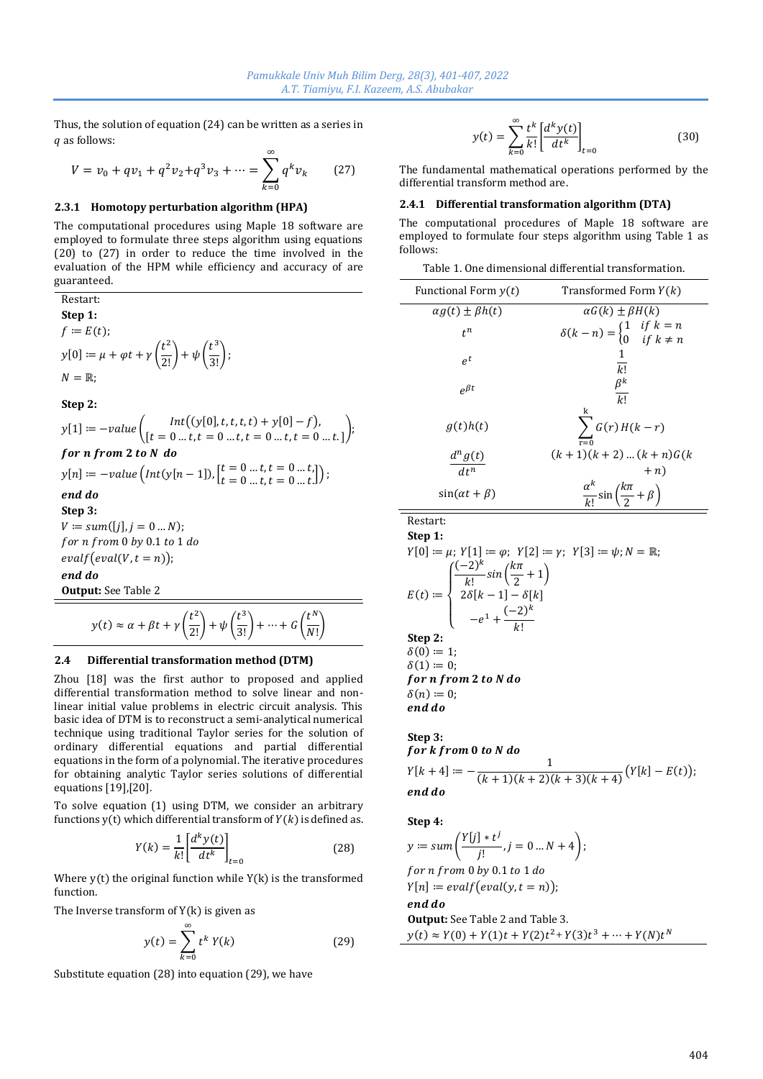Thus, the solution of equation (24) can be written as a series in q as follows:

$$
V = v_0 + qv_1 + q^2v_2 + q^3v_3 + \dots = \sum_{k=0}^{\infty} q^k v_k
$$
 (27)

### **2.3.1 Homotopy perturbation algorithm (HPA)**

The computational procedures using Maple 18 software are employed to formulate three steps algorithm using equations (20) to (27) in order to reduce the time involved in the evaluation of the HPM while efficiency and accuracy of are guaranteed.

Restart:

\n**Step 1:**

\n
$$
f := E(t);
$$
\n
$$
y[0] := \mu + \varphi t + \gamma \left(\frac{t^2}{2!}\right) + \psi \left(\frac{t^3}{3!}\right);
$$
\n
$$
N = \mathbb{R};
$$
\n**Step 2:**

\n
$$
y[1] := -value \left(\begin{matrix} Int\left(\frac{y[0]}{t}, t, t, t\right) + \frac{y[0]}{t} - f\end{matrix}\right),
$$
\n
$$
for \, n \, from \, 2 \, to \, N \, do
$$
\n
$$
y[n] := -value \left(\begin{matrix} Int\left(\frac{y[0]}{t}, t, t, t\right) + \frac{y[0]}{t} - f\end{matrix}\right),
$$
\n
$$
y[n] := -value \left(\begin{matrix} Int\left(\frac{y[n-1]}{t}\right), \left[\frac{t}{t} = 0 \ldots t, t = 0 \ldots t\right] \end{matrix}\right);
$$
\n
$$
end \, do
$$
\n**Step 3:**

\n
$$
V := sum([j], j = 0 \ldots N);
$$
\n
$$
for \, n \, from \, 0 \, by \, 0.1 \, to \, 1 \, do
$$
\n
$$
evalf\left(\text{eval}(V, t = n)\right);
$$
\n
$$
end \, do
$$
\n**Output:** See Table 2

$$
y(t) \approx \alpha + \beta t + \gamma \left(\frac{t^2}{2!}\right) + \psi \left(\frac{t^3}{3!}\right) + \dots + G \left(\frac{t^N}{N!}\right)
$$

### **2.4 Differential transformation method (DTM)**

Zhou [18] was the first author to proposed and applied differential transformation method to solve linear and nonlinear initial value problems in electric circuit analysis. This basic idea of DTM is to reconstruct a semi-analytical numerical technique using traditional Taylor series for the solution of ordinary differential equations and partial differential equations in the form of a polynomial. The iterative procedures for obtaining analytic Taylor series solutions of differential equations [19],[20].

To solve equation (1) using DTM, we consider an arbitrary functions  $y(t)$  which differential transform of  $Y(k)$  is defined as.

$$
Y(k) = \frac{1}{k!} \left[ \frac{d^k y(t)}{dt^k} \right]_{t=0}
$$
 (28)

Where  $y(t)$  the original function while  $Y(k)$  is the transformed function.

The Inverse transform of  $Y(k)$  is given as

$$
y(t) = \sum_{k=0}^{\infty} t^k Y(k)
$$
 (29)

Substitute equation (28) into equation (29), we have

$$
y(t) = \sum_{k=0}^{\infty} \frac{t^k}{k!} \left[ \frac{d^k y(t)}{dt^k} \right]_{t=0}
$$
 (30)

The fundamental mathematical operations performed by the differential transform method are.

### **2.4.1 Differential transformation algorithm (DTA)**

The computational procedures of Maple 18 software are employed to formulate four steps algorithm using Table 1 as follows:

| Table 1. One dimensional differential transformation. |  |
|-------------------------------------------------------|--|
|-------------------------------------------------------|--|

| Functional Form $y(t)$       | Transformed Form $Y(k)$                                                                   |
|------------------------------|-------------------------------------------------------------------------------------------|
| $\alpha q(t) \pm \beta h(t)$ | $\alpha G(k) \pm \beta H(k)$                                                              |
| $t^n$                        | $\delta(k-n) = \begin{cases} 1 & \text{if } k = n \\ 0 & \text{if } k \neq n \end{cases}$ |
| $e^t$                        | 1<br>k!                                                                                   |
| $e^{\beta t}$                | $\beta^k$<br>$\overline{k!}$                                                              |
| q(t)h(t)                     | $\sum G(r) H(k-r)$                                                                        |
| $\frac{d^{n}g(t)}{dt}$       | $(k + 1)(k + 2)  (k + n)G(k)$                                                             |
| $d+n$                        | $+n$                                                                                      |
| $sin(\alpha t + \beta)$      | $\frac{\alpha^k}{k!}$ sin $\left(\frac{k\pi}{2} + \beta\right)$                           |

Restart: **Step 1:**

);

$$
Y[0] := \mu; Y[1] := \varphi; Y[2] := \gamma; Y[3] := \psi; N = \mathbb{R};
$$
  
\n
$$
E(t) := \begin{cases} \frac{(-2)^k}{k!} \sin(\frac{k\pi}{2} + 1) \\ 2\delta[k-1] - \delta[k] \\ -e^1 + \frac{(-2)^k}{k!} \end{cases}
$$
  
\nStep 2:  
\n
$$
\delta(0) := 1;
$$
  
\n
$$
\delta(1) := 0;
$$
  
\nfor **n** from 2 to N do  
\n
$$
\delta(n) := 0;
$$
  
\nend do

**Step 3:** for k from 0 to N do  $Y[k + 4] \coloneqq -$ 1  $\frac{1}{(k+1)(k+2)(k+3)(k+4)}(Y[k]-E(t));$ end do

**Step 4:**

$$
y := sum\left(\frac{Y[j] * t^j}{j!}, j = 0 \dots N + 4\right);
$$
  
for n from 0 by 0.1 to 1 do  

$$
Y[n] := evalf\big( eval(y, t = n)\big);
$$
  
end do  
**Output:** See Table 2 and Table 3.  

$$
y(t) \approx Y(0) + Y(1)t + Y(2)t^2 + Y(3)t^3 + \dots + Y(N)t^N
$$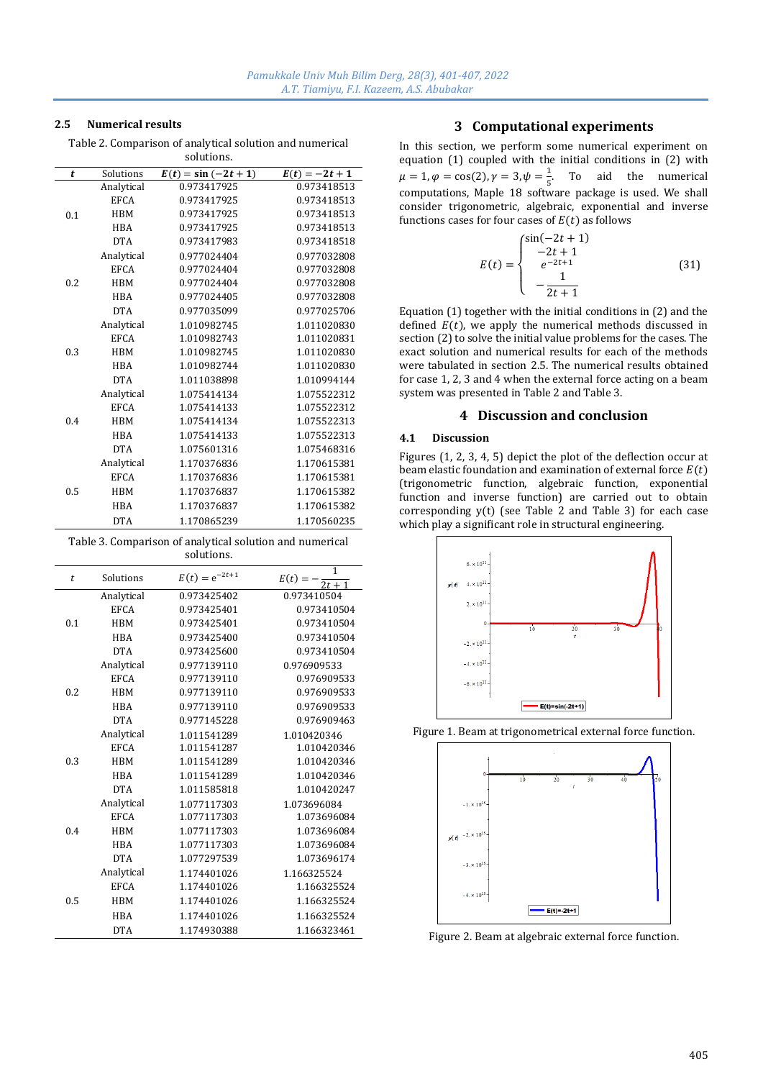# **2.5 Numerical results**

Table 2. Comparison of analytical solution and numerical solutions.

| t   | Solutions   | $E(t) = \sin(-2t + 1)$ | $E(t) = -2t + 1$ |
|-----|-------------|------------------------|------------------|
| 0.1 | Analytical  | 0.973417925            | 0.973418513      |
|     | <b>EFCA</b> | 0.973417925            | 0.973418513      |
|     | <b>HBM</b>  | 0.973417925            | 0.973418513      |
|     | <b>HBA</b>  | 0.973417925            | 0.973418513      |
|     | <b>DTA</b>  | 0.973417983            | 0.973418518      |
| 0.2 | Analytical  | 0.977024404            | 0.977032808      |
|     | <b>EFCA</b> | 0.977024404            | 0.977032808      |
|     | <b>HBM</b>  | 0.977024404            | 0.977032808      |
|     | <b>HBA</b>  | 0.977024405            | 0.977032808      |
|     | <b>DTA</b>  | 0.977035099            | 0.977025706      |
| 0.3 | Analytical  | 1.010982745            | 1.011020830      |
|     | <b>EFCA</b> | 1.010982743            | 1.011020831      |
|     | <b>HBM</b>  | 1.010982745            | 1.011020830      |
|     | <b>HBA</b>  | 1.010982744            | 1.011020830      |
|     | <b>DTA</b>  | 1.011038898            | 1.010994144      |
| 0.4 | Analytical  | 1.075414134            | 1.075522312      |
|     | <b>EFCA</b> | 1.075414133            | 1.075522312      |
|     | <b>HBM</b>  | 1.075414134            | 1.075522313      |
|     | <b>HBA</b>  | 1.075414133            | 1.075522313      |
|     | <b>DTA</b>  | 1.075601316            | 1.075468316      |
| 0.5 | Analytical  | 1.170376836            | 1.170615381      |
|     | <b>EFCA</b> | 1.170376836            | 1.170615381      |
|     | <b>HBM</b>  | 1.170376837            | 1.170615382      |
|     | <b>HBA</b>  | 1.170376837            | 1.170615382      |
|     | <b>DTA</b>  | 1.170865239            | 1.170560235      |

Table 3. Comparison of analytical solution and numerical solutions.

| t   | Solutions   | $E(t) = e^{-2t+1}$ | 1<br>$E(t) =$<br>$2t + 1$ |
|-----|-------------|--------------------|---------------------------|
| 0.1 | Analytical  | 0.973425402        | 0.973410504               |
|     | <b>EFCA</b> | 0.973425401        | 0.973410504               |
|     | <b>HBM</b>  | 0.973425401        | 0.973410504               |
|     | <b>HRA</b>  | 0.973425400        | 0.973410504               |
|     | <b>DTA</b>  | 0.973425600        | 0.973410504               |
| 0.2 | Analytical  | 0.977139110        | 0.976909533               |
|     | <b>EFCA</b> | 0.977139110        | 0.976909533               |
|     | <b>HBM</b>  | 0.977139110        | 0.976909533               |
|     | <b>HBA</b>  | 0.977139110        | 0.976909533               |
|     | <b>DTA</b>  | 0.977145228        | 0.976909463               |
| 0.3 | Analytical  | 1.011541289        | 1.010420346               |
|     | <b>EFCA</b> | 1.011541287        | 1.010420346               |
|     | <b>HBM</b>  | 1.011541289        | 1.010420346               |
|     | <b>HBA</b>  | 1.011541289        | 1.010420346               |
|     | <b>DTA</b>  | 1.011585818        | 1.010420247               |
| 0.4 | Analytical  | 1.077117303        | 1.073696084               |
|     | <b>EFCA</b> | 1.077117303        | 1.073696084               |
|     | <b>HBM</b>  | 1.077117303        | 1.073696084               |
|     | <b>HBA</b>  | 1.077117303        | 1.073696084               |
|     | <b>DTA</b>  | 1.077297539        | 1.073696174               |
| 0.5 | Analytical  | 1.174401026        | 1.166325524               |
|     | <b>EFCA</b> | 1.174401026        | 1.166325524               |
|     | <b>HBM</b>  | 1.174401026        | 1.166325524               |
|     | <b>HBA</b>  | 1.174401026        | 1.166325524               |
|     | <b>DTA</b>  | 1.174930388        | 1.166323461               |

# **3 Computational experiments**

In this section, we perform some numerical experiment on equation (1) coupled with the initial conditions in (2) with  $\mu = 1, \varphi = \cos(2), \gamma = 3, \psi = \frac{1}{5}$  $\frac{1}{5}$ . To aid the numerical computations, Maple 18 software package is used. We shall consider trigonometric, algebraic, exponential and inverse functions cases for four cases of  $E(t)$  as follows

$$
E(t) = \begin{cases} \sin(-2t+1) \\ -2t+1 \\ e^{-2t+1} \\ -\frac{1}{2t+1} \end{cases}
$$
(31)

Equation (1) together with the initial conditions in (2) and the defined  $E(t)$ , we apply the numerical methods discussed in section (2) to solve the initial value problems for the cases. The exact solution and numerical results for each of the methods were tabulated in section 2.5. The numerical results obtained for case 1, 2, 3 and 4 when the external force acting on a beam system was presented in Table 2 and Table 3.

# **4 Discussion and conclusion**

#### **4.1 Discussion**

Figures (1, 2, 3, 4, 5) depict the plot of the deflection occur at beam elastic foundation and examination of external force  $E(t)$ (trigonometric function, algebraic function, exponential function and inverse function) are carried out to obtain corresponding y(t) (see Table 2 and Table 3) for each case which play a significant role in structural engineering.



Figure 1. Beam at trigonometrical external force function.



Figure 2. Beam at algebraic external force function.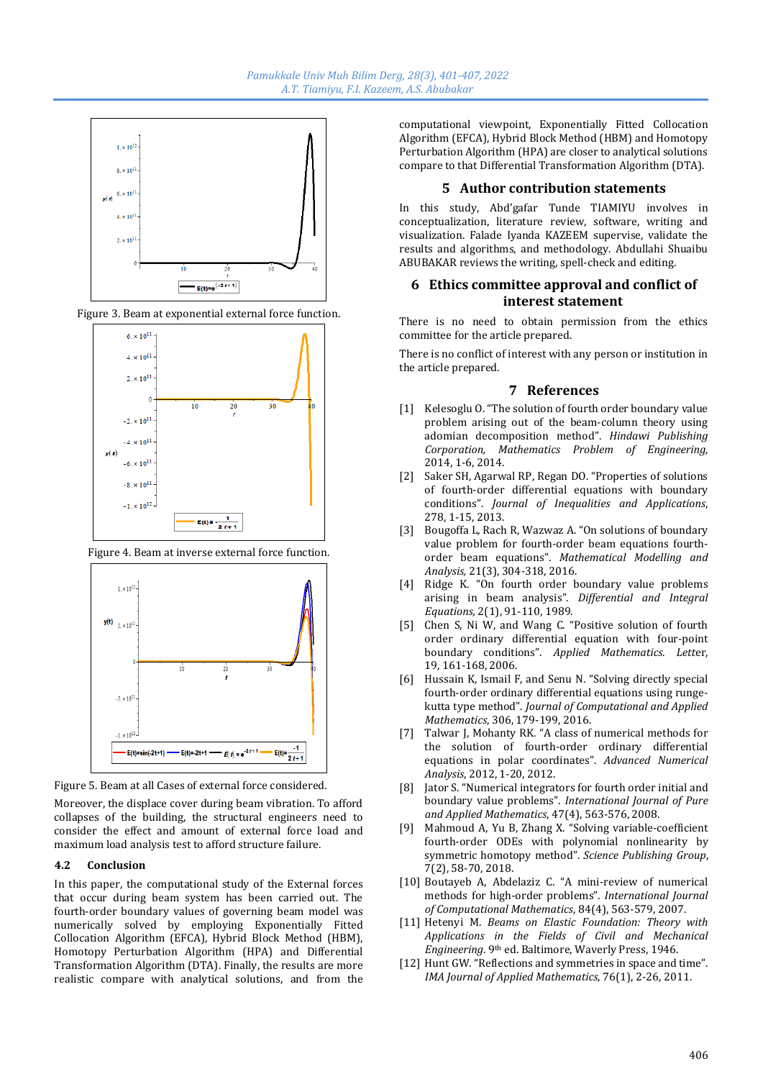

Figure 3. Beam at exponential external force function.



Figure 4. Beam at inverse external force function.



Figure 5. Beam at all Cases of external force considered.

Moreover, the displace cover during beam vibration. To afford collapses of the building, the structural engineers need to consider the effect and amount of external force load and maximum load analysis test to afford structure failure.

#### **4.2 Conclusion**

In this paper, the computational study of the External forces that occur during beam system has been carried out. The fourth-order boundary values of governing beam model was numerically solved by employing Exponentially Fitted Collocation Algorithm (EFCA), Hybrid Block Method (HBM), Homotopy Perturbation Algorithm (HPA) and Differential Transformation Algorithm (DTA). Finally, the results are more realistic compare with analytical solutions, and from the

computational viewpoint, Exponentially Fitted Collocation Algorithm (EFCA), Hybrid Block Method (HBM) and Homotopy Perturbation Algorithm (HPA) are closer to analytical solutions compare to that Differential Transformation Algorithm (DTA).

#### **5 Author contribution statements**

In this study, Abd'gafar Tunde TIAMIYU involves in conceptualization, literature review, software, writing and visualization. Falade Iyanda KAZEEM supervise, validate the results and algorithms, and methodology. Abdullahi Shuaibu ABUBAKAR reviews the writing, spell-check and editing.

# **6 Ethics committee approval and conflict of interest statement**

There is no need to obtain permission from the ethics committee for the article prepared.

There is no conflict of interest with any person or institution in the article prepared.

#### **7 References**

- [1] Kelesoglu O. "The solution of fourth order boundary value problem arising out of the beam-column theory using adomian decomposition method". *Hindawi Publishing Corporation, Mathematics Problem of Engineering,* 2014, 1-6, 2014.
- [2] Saker SH, Agarwal RP, Regan DO. "Properties of solutions of fourth-order differential equations with boundary conditions". *Journal of Inequalities and Applications*, 278, 1-15, 2013.
- [3] Bougoffa L, Rach R, Wazwaz A. "On solutions of boundary value problem for fourth-order beam equations fourthorder beam equations". *Mathematical Modelling and Analysis,* 21(3), 304-318, 2016.
- [4] Ridge K. "On fourth order boundary value problems arising in beam analysis". *Differential and Integral Equations,* 2(1), 91-110, 1989.
- [5] Chen S, Ni W, and Wang C. "Positive solution of fourth order ordinary differential equation with four-point boundary conditions". *Applied Mathematics. Lett*er, 19, 161-168, 2006.
- [6] Hussain K, Ismail F, and Senu N. "Solving directly special fourth-order ordinary differential equations using rungekutta type method". *Journal of Computational and Applied Mathematics*, 306, 179-199, 2016.
- [7] Talwar J, Mohanty RK. "A class of numerical methods for the solution of fourth-order ordinary differential equations in polar coordinates". *Advanced Numerical Analysis*, 2012, 1-20, 2012.
- [8] Jator S. "Numerical integrators for fourth order initial and boundary value problems". *International Journal of Pure and Applied Mathematics*, 47(4), 563-576, 2008.
- [9] Mahmoud A, Yu B, Zhang X. "Solving variable-coefficient fourth-order ODEs with polynomial nonlinearity by symmetric homotopy method". *Science Publishing Group*, 7(2), 58-70, 2018.
- [10] Boutayeb A, Abdelaziz C. "A mini-review of numerical methods for high-order problems". *International Journal of Computational Mathematics*, 84(4), 563-579, 2007.
- [11] Hetenyi M. *Beams on Elastic Foundation: Theory with Applications in the Fields of Civil and Mechanical Engineering*. 9th ed. Baltimore, Waverly Press, 1946.
- [12] Hunt GW. "Reflections and symmetries in space and time". *IMA Journal of Applied Mathematics*, 76(1), 2-26, 2011.